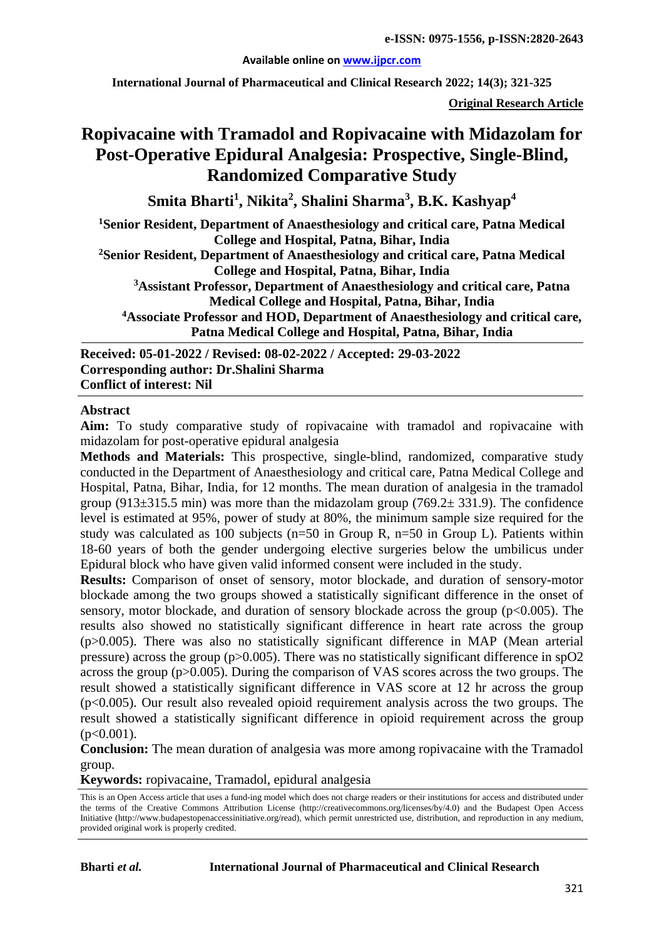#### **Available online on [www.ijpcr.com](http://www.ijpcr.com/)**

**International Journal of Pharmaceutical and Clinical Research 2022; 14(3); 321-325**

**Original Research Article**

# **Ropivacaine with Tramadol and Ropivacaine with Midazolam for Post-Operative Epidural Analgesia: Prospective, Single-Blind, Randomized Comparative Study**

**Smita Bharti<sup>1</sup> , Nikita2 , Shalini Sharma<sup>3</sup> , B.K. Kashyap4**

**1 Senior Resident, Department of Anaesthesiology and critical care, Patna Medical College and Hospital, Patna, Bihar, India**

**2Senior Resident, Department of Anaesthesiology and critical care, Patna Medical College and Hospital, Patna, Bihar, India**

**3 Assistant Professor, Department of Anaesthesiology and critical care, Patna Medical College and Hospital, Patna, Bihar, India**

**4 Associate Professor and HOD, Department of Anaesthesiology and critical care, Patna Medical College and Hospital, Patna, Bihar, India**

**Received: 05-01-2022 / Revised: 08-02-2022 / Accepted: 29-03-2022 Corresponding author: Dr.Shalini Sharma Conflict of interest: Nil**

#### **Abstract**

**Aim:** To study comparative study of ropivacaine with tramadol and ropivacaine with midazolam for post-operative epidural analgesia

**Methods and Materials:** This prospective, single-blind, randomized, comparative study conducted in the Department of Anaesthesiology and critical care, Patna Medical College and Hospital, Patna, Bihar, India, for 12 months. The mean duration of analgesia in the tramadol group (913 $\pm$ 315.5 min) was more than the midazolam group (769.2 $\pm$  331.9). The confidence level is estimated at 95%, power of study at 80%, the minimum sample size required for the study was calculated as 100 subjects (n=50 in Group R, n=50 in Group L). Patients within 18-60 years of both the gender undergoing elective surgeries below the umbilicus under Epidural block who have given valid informed consent were included in the study.

**Results:** Comparison of onset of sensory, motor blockade, and duration of sensory-motor blockade among the two groups showed a statistically significant difference in the onset of sensory, motor blockade, and duration of sensory blockade across the group  $(p<0.005)$ . The results also showed no statistically significant difference in heart rate across the group  $(p>0.005)$ . There was also no statistically significant difference in MAP (Mean arterial pressure) across the group (p>0.005). There was no statistically significant difference in spO2 across the group (p>0.005). During the comparison of VAS scores across the two groups. The result showed a statistically significant difference in VAS score at 12 hr across the group  $(p<0.005)$ . Our result also revealed opioid requirement analysis across the two groups. The result showed a statistically significant difference in opioid requirement across the group  $(p<0.001)$ .

**Conclusion:** The mean duration of analgesia was more among ropivacaine with the Tramadol group.

**Keywords:** ropivacaine, Tramadol, epidural analgesia

This is an Open Access article that uses a fund-ing model which does not charge readers or their institutions for access and distributed under the terms of the Creative Commons Attribution License (http://creativecommons.org/licenses/by/4.0) and the Budapest Open Access Initiative (http://www.budapestopenaccessinitiative.org/read), which permit unrestricted use, distribution, and reproduction in any medium, provided original work is properly credited.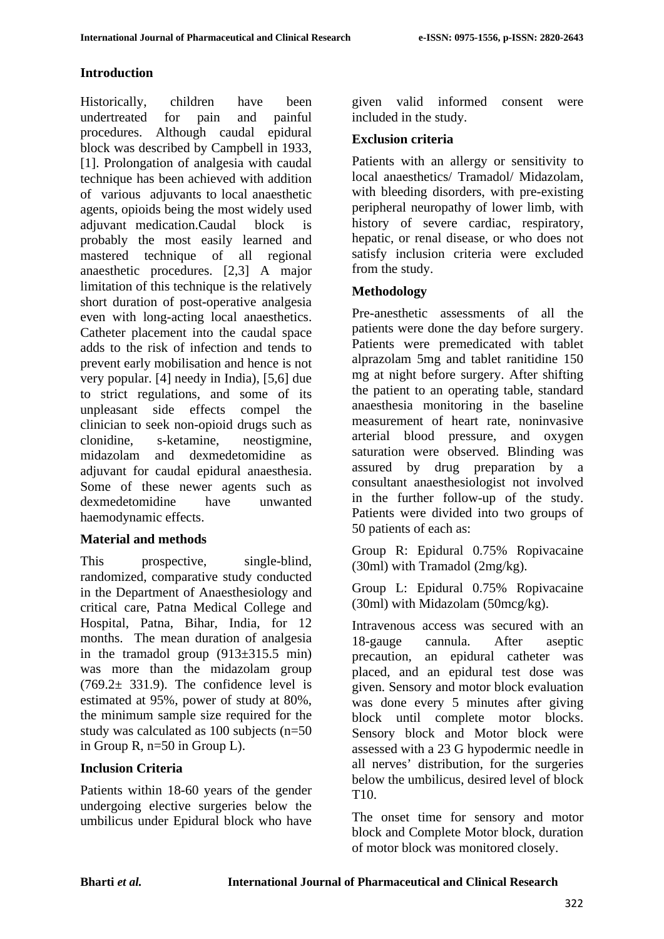## **Introduction**

Historically, children have been undertreated for pain and painful procedures. Although caudal epidural block was described by Campbell in 1933, [1]. Prolongation of analgesia with caudal technique has been achieved with addition of various adjuvants to local anaesthetic agents, opioids being the most widely used adjuvant medication.Caudal block is probably the most easily learned and mastered technique of all regional anaesthetic procedures. [2,3] A major limitation of this technique is the relatively short duration of post-operative analgesia even with long-acting local anaesthetics. Catheter placement into the caudal space adds to the risk of infection and tends to prevent early mobilisation and hence is not very popular. [4] needy in India), [5,6] due to strict regulations, and some of its unpleasant side effects compel the clinician to seek non-opioid drugs such as clonidine, s-ketamine, neostigmine, midazolam and dexmedetomidine as adjuvant for caudal epidural anaesthesia. Some of these newer agents such as dexmedetomidine have unwanted haemodynamic effects.

#### **Material and methods**

This prospective, single-blind, randomized, comparative study conducted in the Department of Anaesthesiology and critical care, Patna Medical College and Hospital, Patna, Bihar, India, for 12 months. The mean duration of analgesia in the tramadol group  $(913\pm315.5 \text{ min})$ was more than the midazolam group  $(769.2 \pm 331.9)$ . The confidence level is estimated at 95%, power of study at 80%, the minimum sample size required for the study was calculated as 100 subjects (n=50 in Group R, n=50 in Group L).

#### **Inclusion Criteria**

Patients within 18-60 years of the gender undergoing elective surgeries below the umbilicus under Epidural block who have

given valid informed consent were included in the study.

#### **Exclusion criteria**

Patients with an allergy or sensitivity to local anaesthetics/ Tramadol/ Midazolam, with bleeding disorders, with pre-existing peripheral neuropathy of lower limb, with history of severe cardiac, respiratory, hepatic, or renal disease, or who does not satisfy inclusion criteria were excluded from the study.

## **Methodology**

Pre-anesthetic assessments of all the patients were done the day before surgery. Patients were premedicated with tablet alprazolam 5mg and tablet ranitidine 150 mg at night before surgery. After shifting the patient to an operating table, standard anaesthesia monitoring in the baseline measurement of heart rate, noninvasive arterial blood pressure, and oxygen saturation were observed. Blinding was assured by drug preparation by a consultant anaesthesiologist not involved in the further follow-up of the study. Patients were divided into two groups of 50 patients of each as:

Group R: Epidural 0.75% Ropivacaine (30ml) with Tramadol (2mg/kg).

Group L: Epidural 0.75% Ropivacaine (30ml) with Midazolam (50mcg/kg).

Intravenous access was secured with an 18-gauge cannula. After aseptic precaution, an epidural catheter was placed, and an epidural test dose was given. Sensory and motor block evaluation was done every 5 minutes after giving block until complete motor blocks. Sensory block and Motor block were assessed with a 23 G hypodermic needle in all nerves' distribution, for the surgeries below the umbilicus, desired level of block T10.

The onset time for sensory and motor block and Complete Motor block, duration of motor block was monitored closely.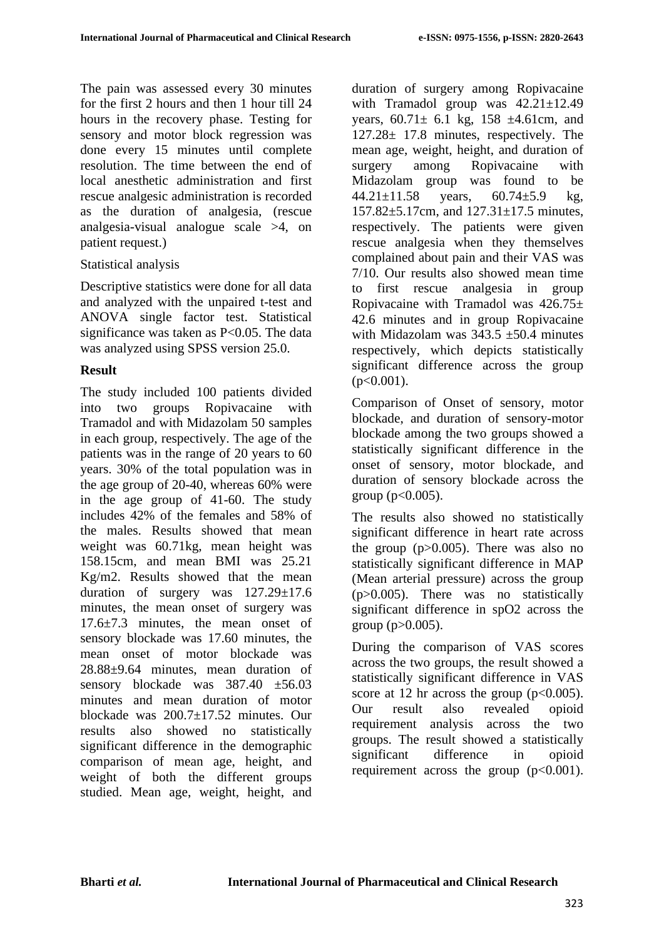The pain was assessed every 30 minutes for the first 2 hours and then 1 hour till 24 hours in the recovery phase. Testing for sensory and motor block regression was done every 15 minutes until complete resolution. The time between the end of local anesthetic administration and first rescue analgesic administration is recorded as the duration of analgesia, (rescue analgesia-visual analogue scale >4, on patient request.)

#### Statistical analysis

Descriptive statistics were done for all data and analyzed with the unpaired t-test and ANOVA single factor test. Statistical significance was taken as P<0.05. The data was analyzed using SPSS version 25.0.

#### **Result**

The study included 100 patients divided into two groups Ropivacaine with Tramadol and with Midazolam 50 samples in each group, respectively. The age of the patients was in the range of 20 years to 60 years. 30% of the total population was in the age group of 20-40, whereas 60% were in the age group of 41-60. The study includes 42% of the females and 58% of the males. Results showed that mean weight was 60.71kg, mean height was 158.15cm, and mean BMI was 25.21 Kg/m2. Results showed that the mean duration of surgery was 127.29±17.6 minutes, the mean onset of surgery was 17.6±7.3 minutes, the mean onset of sensory blockade was 17.60 minutes, the mean onset of motor blockade was 28.88±9.64 minutes, mean duration of sensory blockade was 387.40 ±56.03 minutes and mean duration of motor blockade was 200.7±17.52 minutes. Our results also showed no statistically significant difference in the demographic comparison of mean age, height, and weight of both the different groups studied. Mean age, weight, height, and duration of surgery among Ropivacaine with Tramadol group was  $42.21 \pm 12.49$ years,  $60.71 \pm 6.1$  kg,  $158 \pm 4.61$ cm, and 127.28± 17.8 minutes, respectively. The mean age, weight, height, and duration of surgery among Ropivacaine with Midazolam group was found to be 44.21±11.58 years, 60.74±5.9 kg, 157.82±5.17cm, and 127.31±17.5 minutes, respectively. The patients were given rescue analgesia when they themselves complained about pain and their VAS was 7/10. Our results also showed mean time to first rescue analgesia in group Ropivacaine with Tramadol was  $426.75\pm$ 42.6 minutes and in group Ropivacaine with Midazolam was  $343.5 \pm 50.4$  minutes respectively, which depicts statistically significant difference across the group  $(p<0.001)$ .

Comparison of Onset of sensory, motor blockade, and duration of sensory-motor blockade among the two groups showed a statistically significant difference in the onset of sensory, motor blockade, and duration of sensory blockade across the group ( $p < 0.005$ ).

The results also showed no statistically significant difference in heart rate across the group (p>0.005). There was also no statistically significant difference in MAP (Mean arterial pressure) across the group (p>0.005). There was no statistically significant difference in spO2 across the group  $(p>0.005)$ .

During the comparison of VAS scores across the two groups, the result showed a statistically significant difference in VAS score at 12 hr across the group  $(p<0.005)$ . Our result also revealed opioid requirement analysis across the two groups. The result showed a statistically significant difference in opioid requirement across the group  $(p<0.001)$ .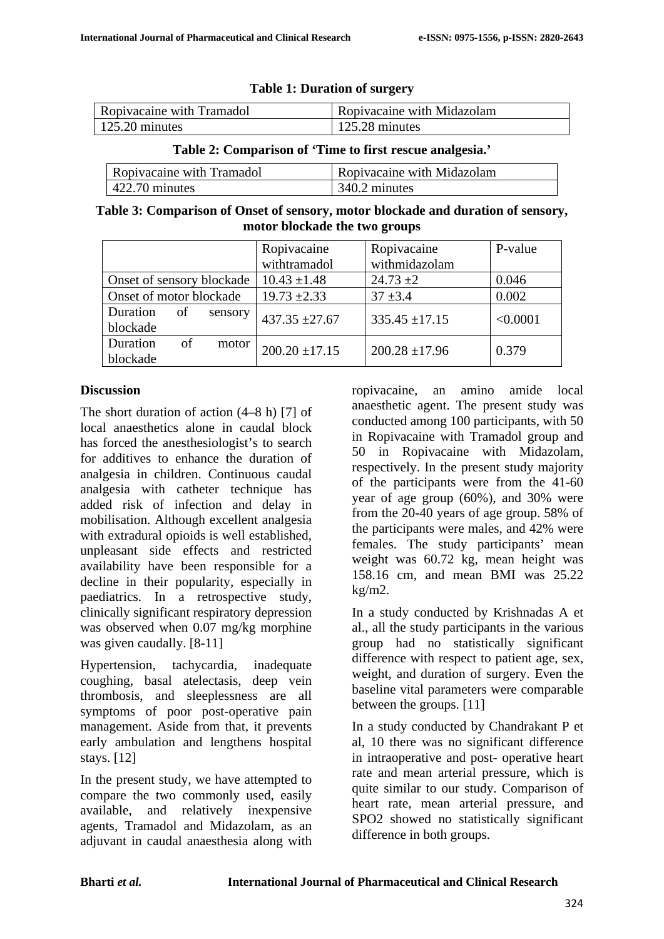| Ropivacaine with Tramadol | Ropivacaine with Midazolam |  |
|---------------------------|----------------------------|--|
| 125.20 minutes            | $\vert$ 125.28 minutes     |  |

**Table 1: Duration of surgery**

#### **Table 2: Comparison of 'Time to first rescue analgesia.'**

| Ropivacaine with Tramadol | Ropivacaine with Midazolam |
|---------------------------|----------------------------|
| $\vert$ 422.70 minutes    | 340.2 minutes              |

**Table 3: Comparison of Onset of sensory, motor blockade and duration of sensory, motor blockade the two groups**

|                           | Ropivacaine        | Ropivacaine        | P-value  |
|---------------------------|--------------------|--------------------|----------|
|                           | withtramadol       | withmidazolam      |          |
| Onset of sensory blockade | $10.43 \pm 1.48$   | $24.73 \pm 2$      | 0.046    |
| Onset of motor blockade   | $19.73 \pm 2.33$   | $37 + 3.4$         | 0.002    |
| Duration<br>of<br>sensory | $437.35 + 27.67$   | $335.45 \pm 17.15$ | < 0.0001 |
| blockade                  |                    |                    |          |
| Duration<br>of<br>motor   | $200.20 \pm 17.15$ | $200.28 \pm 17.96$ | 0.379    |
| blockade                  |                    |                    |          |

#### **Discussion**

The short duration of action (4–8 h) [7] of local anaesthetics alone in caudal block has forced the anesthesiologist's to search for additives to enhance the duration of analgesia in children. Continuous caudal analgesia with catheter technique has added risk of infection and delay in mobilisation. Although excellent analgesia with extradural opioids is well established, unpleasant side effects and restricted availability have been responsible for a decline in their popularity, especially in paediatrics. In a retrospective study, clinically significant respiratory depression was observed when 0.07 mg/kg morphine was given caudally. [8-11]

Hypertension, tachycardia, inadequate coughing, basal atelectasis, deep vein thrombosis, and sleeplessness are all symptoms of poor post-operative pain management. Aside from that, it prevents early ambulation and lengthens hospital stays. [12]

In the present study, we have attempted to compare the two commonly used, easily available, and relatively inexpensive agents, Tramadol and Midazolam, as an adjuvant in caudal anaesthesia along with

ropivacaine, an amino amide local anaesthetic agent. The present study was conducted among 100 participants, with 50 in Ropivacaine with Tramadol group and 50 in Ropivacaine with Midazolam, respectively. In the present study majority of the participants were from the 41-60 year of age group (60%), and 30% were from the 20-40 years of age group. 58% of the participants were males, and 42% were females. The study participants' mean weight was 60.72 kg, mean height was 158.16 cm, and mean BMI was 25.22 kg/m2.

In a study conducted by Krishnadas A et al., all the study participants in the various group had no statistically significant difference with respect to patient age, sex, weight, and duration of surgery. Even the baseline vital parameters were comparable between the groups. [11]

In a study conducted by Chandrakant P et al, 10 there was no significant difference in intraoperative and post- operative heart rate and mean arterial pressure, which is quite similar to our study. Comparison of heart rate, mean arterial pressure, and SPO2 showed no statistically significant difference in both groups.